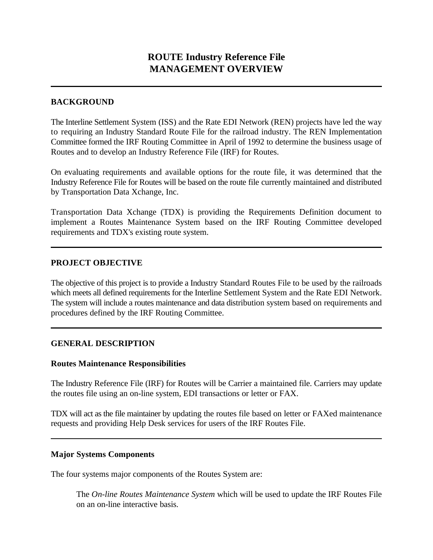## **BACKGROUND**

The Interline Settlement System (ISS) and the Rate EDI Network (REN) projects have led the way to requiring an Industry Standard Route File for the railroad industry. The REN Implementation Committee formed the IRF Routing Committee in April of 1992 to determine the business usage of Routes and to develop an Industry Reference File (IRF) for Routes.

On evaluating requirements and available options for the route file, it was determined that the Industry Reference File for Routes will be based on the route file currently maintained and distributed by Transportation Data Xchange, Inc.

Transportation Data Xchange (TDX) is providing the Requirements Definition document to implement a Routes Maintenance System based on the IRF Routing Committee developed requirements and TDX's existing route system.

# **PROJECT OBJECTIVE**

The objective of this project is to provide a Industry Standard Routes File to be used by the railroads which meets all defined requirements for the Interline Settlement System and the Rate EDI Network. The system will include a routes maintenance and data distribution system based on requirements and procedures defined by the IRF Routing Committee.

## **GENERAL DESCRIPTION**

## **Routes Maintenance Responsibilities**

The Industry Reference File (IRF) for Routes will be Carrier a maintained file. Carriers may update the routes file using an on-line system, EDI transactions or letter or FAX.

TDX will act as the file maintainer by updating the routes file based on letter or FAXed maintenance requests and providing Help Desk services for users of the IRF Routes File.

## **Major Systems Components**

The four systems major components of the Routes System are:

The *On-line Routes Maintenance System* which will be used to update the IRF Routes File on an on-line interactive basis.